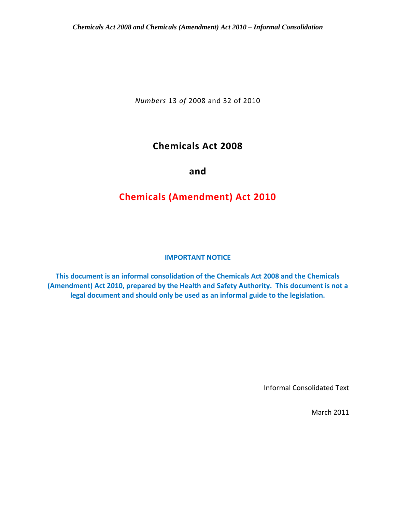*Numbers* 13 *of* 2008 and 32 of 2010

# **Chemicals Act 2008**

**and** 

# **Chemicals (Amendment) Act 2010**

# **IMPORTANT NOTICE**

**This document is an informal consolidation of the Chemicals Act 2008 and the Chemicals (Amendment) Act 2010, prepared by the Health and Safety Authority. This document is not a legal document and should only be used as an informal guide to the legislation.**

Informal Consolidated Text

March 2011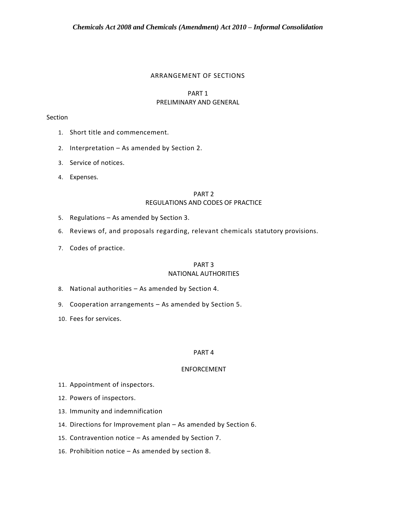#### ARRANGEMENT OF SECTIONS

## PART 1 PRELIMINARY AND GENERAL

# Section

- 1. Short title and commencement.
- 2. Interpretation As amended by Section 2.
- 3. Service of notices.
- 4. Expenses.

## PART 2 REGULATIONS AND CODES OF PRACTICE

- 5. Regulations As amended by Section 3.
- 6. Reviews of, and proposals regarding, relevant chemicals statutory provisions.
- 7. Codes of practice.

#### PART 3 NATIONAL AUTHORITIES

- 8. National authorities As amended by Section 4.
- 9. Cooperation arrangements As amended by Section 5.
- 10. Fees for services.

# PART 4

# ENFORCEMENT

- 11. Appointment of inspectors.
- 12. Powers of inspectors.
- 13. Immunity and indemnification
- 14. Directions for Improvement plan As amended by Section 6.
- 15. Contravention notice As amended by Section 7.
- 16. Prohibition notice As amended by section 8.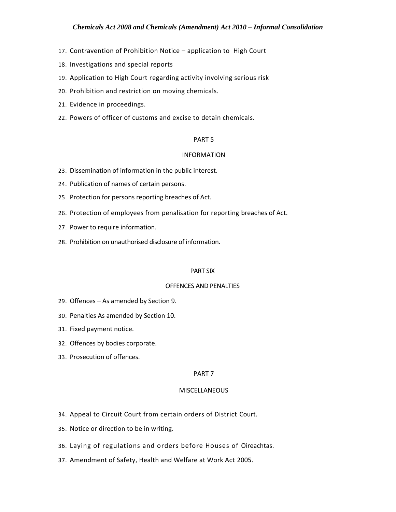- 17. Contravention of Prohibition Notice application to High Court
- 18. Investigations and special reports
- 19. Application to High Court regarding activity involving serious risk
- 20. Prohibition and restriction on moving chemicals.
- 21. Evidence in proceedings.
- 22. Powers of officer of customs and excise to detain chemicals.

#### PART 5

#### INFORMATION

- 23. Dissemination of information in the public interest.
- 24. Publication of names of certain persons.
- 25. Protection for persons reporting breaches of Act.
- 26. Protection of employees from penalisation for reporting breaches of Act.
- 27. Power to require information.
- 28. Prohibition on unauthorised disclosure of information.

#### PART SIX

#### OFFENCES AND PENALTIES

- 29. Offences As amended by Section 9.
- 30. Penalties As amended by Section 10.
- 31. Fixed payment notice.
- 32. Offences by bodies corporate.
- 33. Prosecution of offences.

#### PART 7

#### **MISCELLANEOUS**

- 34. Appeal to Circuit Court from certain orders of District Court.
- 35. Notice or direction to be in writing.
- 36. Laying of regulations and orders before Houses of Oireachtas.
- 37. Amendment of Safety, Health and Welfare at Work Act 2005.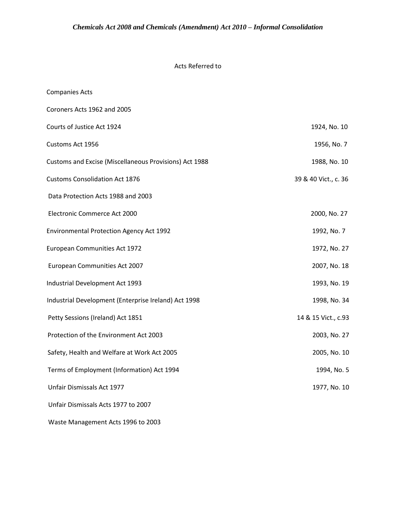# Acts Referred to

| <b>Companies Acts</b>                                  |                      |
|--------------------------------------------------------|----------------------|
| Coroners Acts 1962 and 2005                            |                      |
| Courts of Justice Act 1924                             | 1924, No. 10         |
| Customs Act 1956                                       | 1956, No. 7          |
| Customs and Excise (Miscellaneous Provisions) Act 1988 | 1988, No. 10         |
| <b>Customs Consolidation Act 1876</b>                  | 39 & 40 Vict., c. 36 |
| Data Protection Acts 1988 and 2003                     |                      |
| Electronic Commerce Act 2000                           | 2000, No. 27         |
| <b>Environmental Protection Agency Act 1992</b>        | 1992, No. 7          |
| European Communities Act 1972                          | 1972, No. 27         |
| European Communities Act 2007                          | 2007, No. 18         |
| Industrial Development Act 1993                        | 1993, No. 19         |
| Industrial Development (Enterprise Ireland) Act 1998   | 1998, No. 34         |
| Petty Sessions (Ireland) Act 1851                      | 14 & 15 Vict., c.93  |
| Protection of the Environment Act 2003                 | 2003, No. 27         |
| Safety, Health and Welfare at Work Act 2005            | 2005, No. 10         |
| Terms of Employment (Information) Act 1994             | 1994, No. 5          |
| Unfair Dismissals Act 1977                             | 1977, No. 10         |
| Unfair Dismissals Acts 1977 to 2007                    |                      |
|                                                        |                      |

Waste Management Acts 1996 to 2003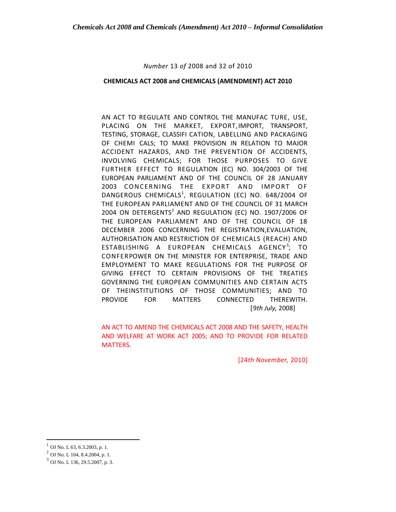*Number* 13 *of* 2008 and 32 of 2010

#### **CHEMICALS ACT 2008 and CHEMICALS (AMENDMENT) ACT 2010**

AN ACT TO REGULATE AND CONTROL THE MANUFAC TURE, USE, PLACING ON THE MARKET, EXPORT,IMPORT, TRANSPORT, TESTING, STORAGE, CLASSIFI CATION, LABELLING AND PACKAGING OF CHEMI CALS; TO MAKE PROVISION IN RELATION TO MAJOR ACCIDENT HAZARDS, AND THE PREVENTION OF ACCIDENTS, INVOLVING CHEMICALS; FOR THOSE PURPOSES TO GIVE FURTHER EFFECT TO REGULATION (EC) NO. 304/2003 OF THE EUROPEAN PARLIAMENT AND OF THE COUNCIL OF 28 JANUARY 2003 CONCERNING THE EXPORT AND IMPORT OF DANGEROUS CHEMICALS<sup>1</sup>, REGULATION (EC) NO. 648/2004 OF THE EUROPEAN PARLIAMENT AND OF THE COUNCIL OF 31 MARCH 2004 ON DETERGENTS $2$  AND REGULATION (EC) NO. 1907/2006 OF THE EUROPEAN PARLIAMENT AND OF THE COUNCIL OF 18 DECEMBER 2006 CONCERNING THE REGISTRATION,EVALUATION, AUTHORISATION AND RESTRICTION OF CHEMICALS (REACH) AND ESTABLISHING A EUROPEAN CHEMICALS AGENCY<sup>3</sup>; TO CONFERPOWER ON THE MINISTER FOR ENTERPRISE, TRADE AND EMPLOYMENT TO MAKE REGULATIONS FOR THE PURPOSE OF GIVING EFFECT TO CERTAIN PROVISIONS OF THE TREATIES GOVERNING THE EUROPEAN COMMUNITIES AND CERTAIN ACTS OF THEINSTITUTIONS OF THOSE COMMUNITIES; AND TO PROVIDE FOR MATTERS CONNECTED THEREWITH. [9*th July,* 2008]

AN ACT TO AMEND THE CHEMICALS ACT 2008 AND THE SAFETY, HEALTH AND WELFARE AT WORK ACT 2005; AND TO PROVIDE FOR RELATED MATTERS.

[24*th November,* 2010]

 $^{1}$  OJ No. L 63, 6.3.2003, p. 1.

<sup>2</sup> OJ No. L 104, 8.4.2004, p. 1.

<sup>3</sup> OJ No. L 136, 29.5.2007, p. 3.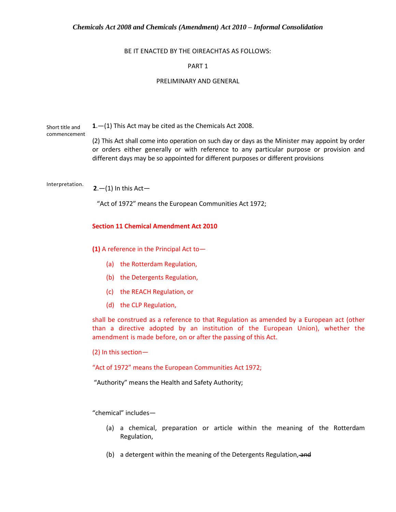#### BE IT ENACTED BY THE OIREACHTAS AS FOLLOWS:

# PART 1

#### PRELIMINARY AND GENERAL

Short title and commencement **1**.—(1) This Act may be cited as the Chemicals Act 2008.

(2) This Act shall come into operation on such day or days as the Minister may appoint by order or orders either generally or with reference to any particular purpose or provision and different days may be so appointed for different purposes or different provisions

Interpretation.  $2- (1)$  In this Act-

"Act of 1972" means the European Communities Act 1972;

**Section 11 Chemical Amendment Act 2010**

**(1)** A reference in the Principal Act to—

- (a) the Rotterdam Regulation,
- (b) the Detergents Regulation,
- (c) the REACH Regulation, or
- (d) the CLP Regulation,

shall be construed as a reference to that Regulation as amended by a European act (other than a directive adopted by an institution of the European Union), whether the amendment is made before, on or after the passing of this Act.

(2) In this section—

"Act of 1972" means the European Communities Act 1972;

"Authority" means the Health and Safety Authority;

"chemical" includes—

- (a) a chemical, preparation or article within the meaning of the Rotterdam Regulation,
- (b) a detergent within the meaning of the Detergents Regulation, and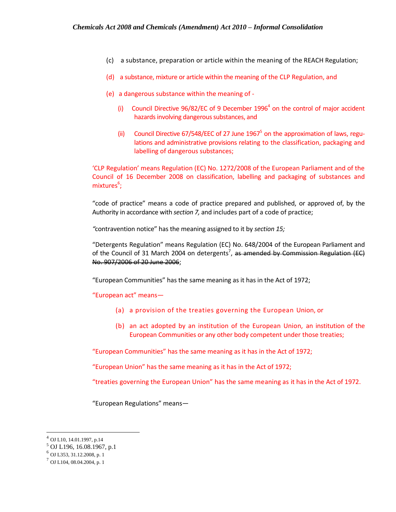- (c) a substance, preparation or article within the meaning of the REACH Regulation;
- (d) a substance, mixture or article within the meaning of the CLP Regulation, and
- (e) a dangerous substance within the meaning of
	- (i) Council Directive  $96/82$ /EC of 9 December 1996<sup>4</sup> on the control of major accident hazards involving dangerous substances, and
	- (ii) Council Directive 67/548/EEC of 27 June 1967 $^5$  on the approximation of laws, regulations and administrative provisions relating to the classification, packaging and labelling of dangerous substances;

'CLP Regulation' means Regulation (EC) No. 1272/2008 of the European Parliament and of the Council of 16 December 2008 on classification, labelling and packaging of substances and mixtures<sup>6</sup>;

"code of practice" means a code of practice prepared and published, or approved of, by the Authority in accordance with *section 7,* and includes part of a code of practice;

*"*contravention notice" has the meaning assigned to it by *section 15;*

"Detergents Regulation" means Regulation (EC) No. 648/2004 of the European Parliament and of the Council of 31 March 2004 on detergents<sup>7</sup>, as amended by Commission Regulation (EC) No. 907/2006 of 20 June 2006;

"European Communities" has the same meaning as it has in the Act of 1972;

"European act" means—

- (a) a provision of the treaties governing the European Union, or
- (b) an act adopted by an institution of the European Union, an institution of the European Communities or any other body competent under those treaties;

"European Communities" has the same meaning as it has in the Act of 1972;

"European Union" has the same meaning as it has in the Act of 1972;

"treaties governing the European Union" has the same meaning as it has in the Act of 1972.

"European Regulations" means—

 $^{4}$  OJ L10, 14.01.1997, p.14

<sup>5</sup> OJ L196, 16.08.1967, p.1

<sup>6</sup> OJ L353, 31.12.2008, p. 1

<sup>7</sup> OJ L104, 08.04.2004, p. 1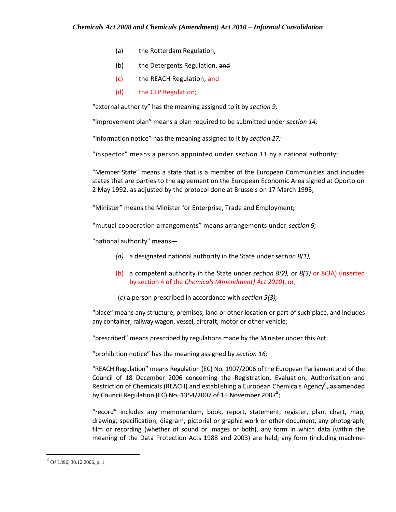- (a) the Rotterdam Regulation,
- (b) the Detergents Regulation, and
- (c) the REACH Regulation, and
- (d) the CLP Regulation;

"external authority" has the meaning assigned to it by *section 9;*

"improvement plan" means a plan required to be submitted under *section 14;*

"information notice" has the meaning assigned to it by *section 27;*

"inspector" means a person appointed under *section 11* by a national authority;

"Member State" means a state that is a member of the European Communities and includes states that are parties to the agreement on the European Economic Area signed at Oporto on 2 May 1992, as adjusted by the protocol done at Brussels on 17 March 1993;

"Minister" means the Minister for Enterprise, Trade and Employment;

"mutual cooperation arrangements" means arrangements under *section 9;*

"national authority" means—

- *(a)* a designated national authority in the State under *section 8(1),*
- (b) a competent authority in the State under *section 8(2),* or *8(3)* or 8(3A) (inserted by section 4 of the *Chemicals (Amendment) Act 2010*), or,
- (*c*) a person prescribed in accordance with *section 5(3);*

"place" means any structure, premises, land or other location or part of such place, and includes any container, railway wagon, vessel, aircraft, motor or other vehicle;

"prescribed" means prescribed by regulations made by the Minister under this Act;

"prohibition notice" has the meaning assigned by *section 16;*

"REACH Regulation" means Regulation (EC) No. 1907/2006 of the European Parliament and of the Council of 18 December 2006 concerning the Registration, Evaluation, Authorisation and Restriction of Chemicals (REACH) and establishing a European Chemicals Agency<sup>8</sup>, as amended by Council Regulation (EC) No. 1354/2007 of 15 November 2007 $^5\!$ ;

"record" includes any memorandum, book, report, statement, register, plan, chart, map, drawing, specification, diagram, pictorial or graphic work or other document, any photograph, film or recording (whether of sound or images or both), any form in which data (within the meaning of the Data Protection Acts 1988 and 2003) are held, any form (including machine-

 $^8$  OJ L396, 30.12.2006, p. 1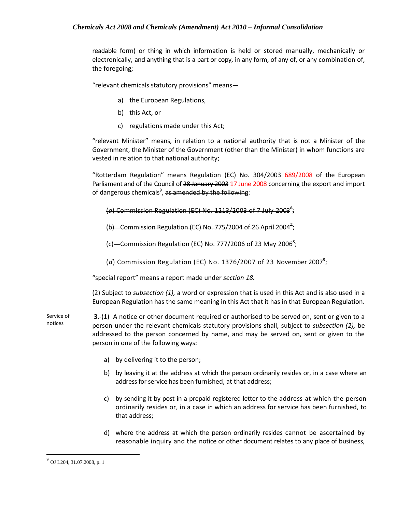readable form) or thing in which information is held or stored manually, mechanically or electronically, and anything that is a part or copy, in any form, of any of, or any combination of, the foregoing;

"relevant chemicals statutory provisions" means—

- a) the European Regulations,
- b) this Act, or
- c) regulations made under this Act;

"relevant Minister" means, in relation to a national authority that is not a Minister of the Government, the Minister of the Government (other than the Minister) in whom functions are vested in relation to that national authority;

"Rotterdam Regulation" means Regulation (EC) No. 304/2003 689/2008 of the European Parliament and of the Council of 28 January 2003 17 June 2008 concerning the export and import of dangerous chemicals<sup>9</sup>, <del>as amended by the following</del>:

(a) Commission Regulation (EC) No. 1213/2003 of 7 July 2003<sup>6</sup>;

(b) - Commission Regulation (EC) No. 775/2004 of 26 April 2004<sup>7</sup>;

(c) Commission Regulation (EC) No. 777/2006 of 23 May 2006 $^{\rm 8}$ ;

(*d*) Commission Regulation (EC) No. 1376/2007 of 23 November 2007<sup>9</sup>;

"special report" means a report made under *section 18.*

(2) Subject to *subsection (1),* a word or expression that is used in this Act and is also used in a European Regulation has the same meaning in this Act that it has in that European Regulation.

Service of notices **3**.-(1) A notice or other document required or authorised to be served on, sent or given to a person under the relevant chemicals statutory provisions shall, subject to *subsection (2),* be addressed to the person concerned by name, and may be served on, sent or given to the person in one of the following ways:

- a) by delivering it to the person;
- b) by leaving it at the address at which the person ordinarily resides or, in a case where an address for service has been furnished, at that address;
- c) by sending it by post in a prepaid registered letter to the address at which the person ordinarily resides or, in a case in which an address for service has been furnished, to that address;
- d) where the address at which the person ordinarily resides cannot be ascertained by reasonable inquiry and the notice or other document relates to any place of business,

 $^{9}$  OJ L204, 31.07.2008, p. 1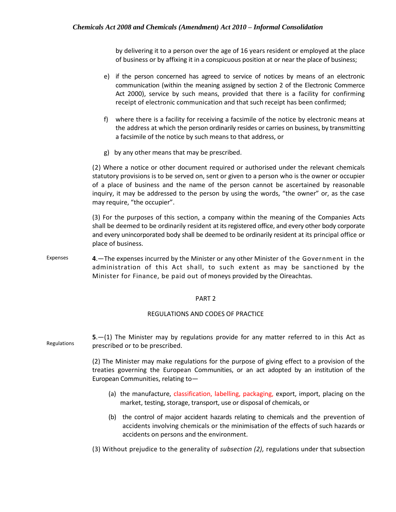by delivering it to a person over the age of 16 years resident or employed at the place of business or by affixing it in a conspicuous position at or near the place of business;

- e) if the person concerned has agreed to service of notices by means of an electronic communication (within the meaning assigned by section 2 of the Electronic Commerce Act 2000), service by such means, provided that there is a facility for confirming receipt of electronic communication and that such receipt has been confirmed;
- f) where there is a facility for receiving a facsimile of the notice by electronic means at the address at which the person ordinarily resides or carries on business, by transmitting a facsimile of the notice by such means to that address, or
- g) by any other means that may be prescribed.

 (2) Where a notice or other document required or authorised under the relevant chemicals statutory provisions is to be served on, sent or given to a person who is the owner or occupier of a place of business and the name of the person cannot be ascertained by reasonable inquiry, it may be addressed to the person by using the words, "the owner" or, as the case may require, "the occupier".

(3) For the purposes of this section, a company within the meaning of the Companies Acts shall be deemed to be ordinarily resident at its registered office, and every other body corporate and every unincorporated body shall be deemed to be ordinarily resident at its principal office or place of business.

Expenses **4**.—The expenses incurred by the Minister or any other Minister of the Government in the administration of this Act shall, to such extent as may be sanctioned by the Minister for Finance, be paid out of moneys provided by the Oireachtas.

#### PART 2

#### REGULATIONS AND CODES OF PRACTICE

Regulations **5**.—(1) The Minister may by regulations provide for any matter referred to in this Act as prescribed or to be prescribed.

> (2) The Minister may make regulations for the purpose of giving effect to a provision of the treaties governing the European Communities, or an act adopted by an institution of the European Communities, relating to—

- (a) the manufacture, classification, labelling, packaging, export, import, placing on the market, testing, storage, transport, use or disposal of chemicals, or
- (b) the control of major accident hazards relating to chemicals and the prevention of accidents involving chemicals or the minimisation of the effects of such hazards or accidents on persons and the environment.
- (3) Without prejudice to the generality of *subsection (2),* regulations under that subsection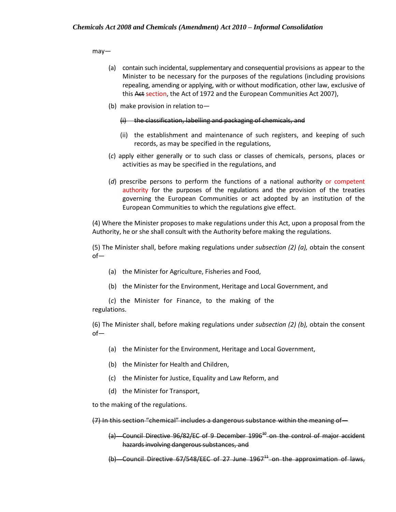may—

- (a) contain such incidental, supplementary and consequential provisions as appear to the Minister to be necessary for the purposes of the regulations (including provisions repealing, amending or applying, with or without modification, other law, exclusive of this Act section, the Act of 1972 and the European Communities Act 2007),
- (b) make provision in relation to—

#### (i) the classification, labelling and packaging of chemicals, and

- (ii) the establishment and maintenance of such registers, and keeping of such records, as may be specified in the regulations,
- (*c*) apply either generally or to such class or classes of chemicals, persons, places or activities as may be specified in the regulations, and
- (*d*) prescribe persons to perform the functions of a national authority or competent authority for the purposes of the regulations and the provision of the treaties governing the European Communities or act adopted by an institution of the European Communities to which the regulations give effect.

(4) Where the Minister proposes to make regulations under this Act, upon a proposal from the Authority, he or she shall consult with the Authority before making the regulations.

(5) The Minister shall, before making regulations under *subsection (2) (a),* obtain the consent of—

- (a) the Minister for Agriculture, Fisheries and Food,
- (b) the Minister for the Environment, Heritage and Local Government, and

(*c*) the Minister for Finance, to the making of the regulations.

(6) The Minister shall, before making regulations under *subsection (2) (b),* obtain the consent of—

- (a) the Minister for the Environment, Heritage and Local Government,
- (b) the Minister for Health and Children,
- (c) the Minister for Justice, Equality and Law Reform, and
- (d) the Minister for Transport,

to the making of the regulations.

(7) In this section "chemical" includes a dangerous substance within the meaning of—

- $(a)$  Council Directive 96/82/EC of 9 December 1996<sup>40</sup> on the control of maior accident hazards involving dangerous substances, and
- (b) Council Directive  $67/548/EEC$  of 27 June  $1967<sup>11</sup>$  on the approximation of laws,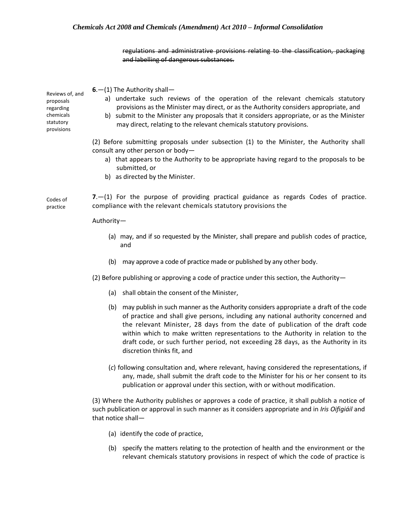regulations and administrative provisions relating to the classification, packaging and labelling of dangerous substances.

Reviews of, and proposals regarding chemicals statutory provisions **6**.—(1) The Authority shall a) undertake such reviews of the operation of the relevant chemicals statutory provisions as the Minister may direct, or as the Authority considers appropriate, and b) submit to the Minister any proposals that it considers appropriate, or as the Minister may direct, relating to the relevant chemicals statutory provisions. (2) Before submitting proposals under subsection (1) to the Minister, the Authority shall consult any other person or body a) that appears to the Authority to be appropriate having regard to the proposals to be submitted, or b) as directed by the Minister. Codes of practice **7**.—(1) For the purpose of providing practical guidance as regards Codes of practice. compliance with the relevant chemicals statutory provisions the Authority— (a) may, and if so requested by the Minister, shall prepare and publish codes of practice, and (b) may approve a code of practice made or published by any other body. (2) Before publishing or approving a code of practice under this section, the Authority— (a) shall obtain the consent of the Minister, (b) may publish in such manner as the Authority considers appropriate a draft of the code of practice and shall give persons, including any national authority concerned and the relevant Minister, 28 days from the date of publication of the draft code within which to make written representations to the Authority in relation to the draft code, or such further period, not exceeding 28 days, as the Authority in its discretion thinks fit, and (*c*) following consultation and, where relevant, having considered the representations, if any, made, shall submit the draft code to the Minister for his or her consent to its publication or approval under this section, with or without modification.

(3) Where the Authority publishes or approves a code of practice, it shall publish a notice of such publication or approval in such manner as it considers appropriate and in *Iris Oifigiáil* and that notice shall—

- (a) identify the code of practice,
- (b) specify the matters relating to the protection of health and the environment or the relevant chemicals statutory provisions in respect of which the code of practice is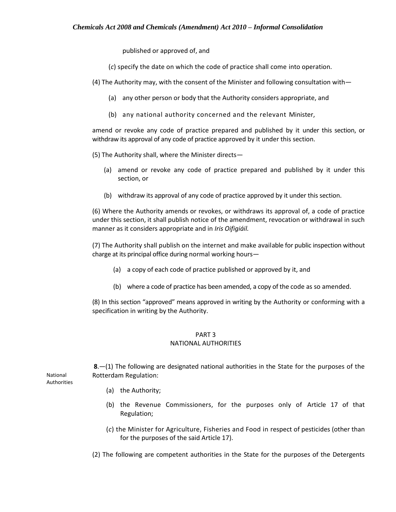published or approved of, and

(*c*) specify the date on which the code of practice shall come into operation.

(4) The Authority may, with the consent of the Minister and following consultation with—

- (a) any other person or body that the Authority considers appropriate, and
- (b) any national authority concerned and the relevant Minister,

amend or revoke any code of practice prepared and published by it under this section, or withdraw its approval of any code of practice approved by it under this section.

(5) The Authority shall, where the Minister directs—

- (a) amend or revoke any code of practice prepared and published by it under this section, or
- (b) withdraw its approval of any code of practice approved by it under this section.

(6) Where the Authority amends or revokes, or withdraws its approval of, a code of practice under this section, it shall publish notice of the amendment, revocation or withdrawal in such manner as it considers appropriate and in *Iris Oifigiáil.*

(7) The Authority shall publish on the internet and make available for public inspection without charge at its principal office during normal working hours—

- (a) a copy of each code of practice published or approved by it, and
- (b) where a code of practice has been amended, a copy of the code as so amended.

(8) In this section "approved" means approved in writing by the Authority or conforming with a specification in writing by the Authority.

# PART 3

#### NATIONAL AUTHORITIES

**8**.—(1) The following are designated national authorities in the State for the purposes of the Rotterdam Regulation:

- (a) the Authority;
- (b) the Revenue Commissioners, for the purposes only of Article 17 of that Regulation;
- (*c*) the Minister for Agriculture, Fisheries and Food in respect of pesticides (other than for the purposes of the said Article 17).
- (2) The following are competent authorities in the State for the purposes of the Detergents

National Authorities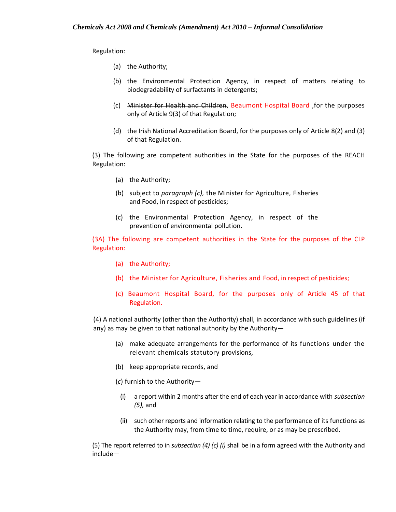Regulation:

- (a) the Authority;
- (b) the Environmental Protection Agency, in respect of matters relating to biodegradability of surfactants in detergents;
- (c) Minister for Health and Children, Beaumont Hospital Board ,for the purposes only of Article 9(3) of that Regulation;
- (d) the Irish National Accreditation Board, for the purposes only of Article 8(2) and (3) of that Regulation.

(3) The following are competent authorities in the State for the purposes of the REACH Regulation:

- (a) the Authority;
- (b) subject to *paragraph (c),* the Minister for Agriculture, Fisheries and Food, in respect of pesticides;
- (c) the Environmental Protection Agency, in respect of the prevention of environmental pollution.

(3A) The following are competent authorities in the State for the purposes of the CLP Regulation:

- (a) the Authority;
- (b) the Minister for Agriculture, Fisheries and Food, in respect of pesticides;
- (c) Beaumont Hospital Board, for the purposes only of Article 45 of that Regulation.

(4) A national authority (other than the Authority) shall, in accordance with such guidelines (if any) as may be given to that national authority by the Authority—

- (a) make adequate arrangements for the performance of its functions under the relevant chemicals statutory provisions,
- (b) keep appropriate records, and
- (*c*) furnish to the Authority—
	- (i) a report within 2 months after the end of each year in accordance with *subsection (5),* and
	- (ii) such other reports and information relating to the performance of its functions as the Authority may, from time to time, require, or as may be prescribed.

(5) The report referred to in *subsection (4) (c) (i)* shall be in a form agreed with the Authority and include—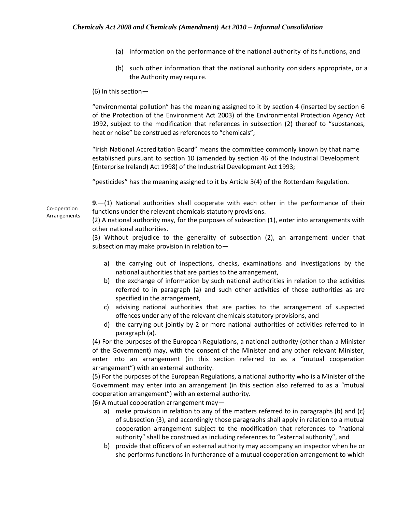- (a) information on the performance of the national authority of its functions, and
- (b) such other information that the national authority considers appropriate, or as the Authority may require.

(6) In this section—

"environmental pollution" has the meaning assigned to it by section 4 (inserted by section 6 of the Protection of the Environment Act 2003) of the Environmental Protection Agency Act 1992, subject to the modification that references in subsection (2) thereof to "substances, heat or noise" be construed as references to "chemicals";

"Irish National Accreditation Board" means the committee commonly known by that name established pursuant to section 10 (amended by section 46 of the Industrial Development (Enterprise Ireland) Act 1998) of the Industrial Development Act 1993;

"pesticides" has the meaning assigned to it by Article 3(4) of the Rotterdam Regulation.

**9**.—(1) National authorities shall cooperate with each other in the performance of their functions under the relevant chemicals statutory provisions.

(2) A national authority may, for the purposes of subsection (1), enter into arrangements with other national authorities.

(3) Without prejudice to the generality of subsection (2), an arrangement under that subsection may make provision in relation to—

- a) the carrying out of inspections, checks, examinations and investigations by the national authorities that are parties to the arrangement,
- b) the exchange of information by such national authorities in relation to the activities referred to in paragraph (a) and such other activities of those authorities as are specified in the arrangement,
- c) advising national authorities that are parties to the arrangement of suspected offences under any of the relevant chemicals statutory provisions, and
- d) the carrying out jointly by 2 or more national authorities of activities referred to in paragraph (a).

(4) For the purposes of the European Regulations, a national authority (other than a Minister of the Government) may, with the consent of the Minister and any other relevant Minister, enter into an arrangement (in this section referred to as a "mutual cooperation arrangement") with an external authority.

(5) For the purposes of the European Regulations, a national authority who is a Minister of the Government may enter into an arrangement (in this section also referred to as a "mutual cooperation arrangement") with an external authority.

(6) A mutual cooperation arrangement may—

- a) make provision in relation to any of the matters referred to in paragraphs (b) and (c) of subsection (3), and accordingly those paragraphs shall apply in relation to a mutual cooperation arrangement subject to the modification that references to "national authority" shall be construed as including references to "external authority", and
- b) provide that officers of an external authority may accompany an inspector when he or she performs functions in furtherance of a mutual cooperation arrangement to which

Co-operation Arrangements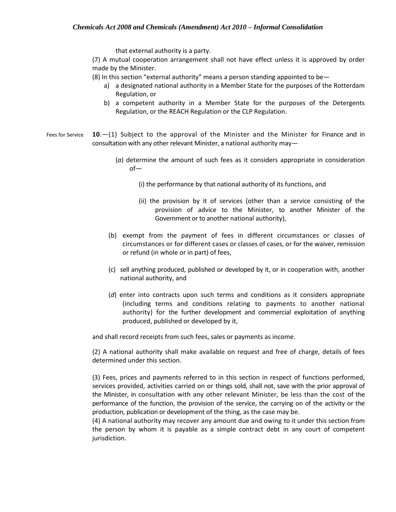that external authority is a party.

(7) A mutual cooperation arrangement shall not have effect unless it is approved by order made by the Minister.

(8) In this section "external authority" means a person standing appointed to be—

- a) a designated national authority in a Member State for the purposes of the Rotterdam Regulation, or
- b) a competent authority in a Member State for the purposes of the Detergents Regulation, or the REACH Regulation or the CLP Regulation.
- Fees for Service **10**.—(1) Subject to the approval of the Minister and the Minister for Finance and in consultation with any other relevant Minister, a national authority may—
	- (*a*) determine the amount of such fees as it considers appropriate in consideration of—
		- (i) the performance by that national authority of its functions, and
		- (ii) the provision by it of services (other than a service consisting of the provision of advice to the Minister, to another Minister of the Government or to another national authority),
	- (b) exempt from the payment of fees in different circumstances or classes of circumstances or for different cases or classes of cases, or for the waiver, remission or refund (in whole or in part) of fees,
	- (c) sell anything produced, published or developed by it, or in cooperation with, another national authority, and
	- (*d*) enter into contracts upon such terms and conditions as it considers appropriate (including terms and conditions relating to payments to another national authority) for the further development and commercial exploitation of anything produced, published or developed by it,

and shall record receipts from such fees, sales or payments as income.

(2) A national authority shall make available on request and free of charge, details of fees determined under this section.

(3) Fees, prices and payments referred to in this section in respect of functions performed, services provided, activities carried on or things sold, shall not, save with the prior approval of the Minister, in consultation with any other relevant Minister, be less than the cost of the performance of the function, the provision of the service, the carrying on of the activity or the production, publication or development of the thing, as the case may be.

(4) A national authority may recover any amount due and owing to it under this section from the person by whom it is payable as a simple contract debt in any court of competent jurisdiction.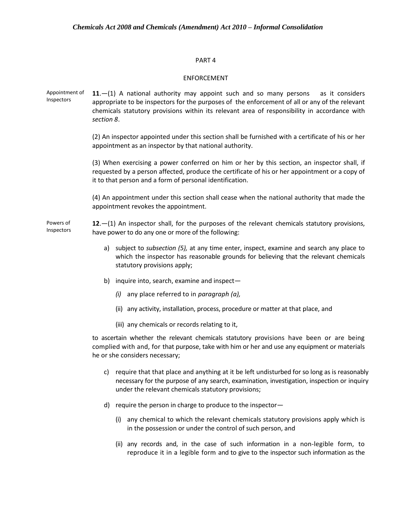#### PART 4

#### ENFORCEMENT

Appointment of Inspectors **11**.—(1) A national authority may appoint such and so many persons as it considers appropriate to be inspectors for the purposes of the enforcement of all or any of the relevant chemicals statutory provisions within its relevant area of responsibility in accordance with *section 8*.

> (2) An inspector appointed under this section shall be furnished with a certificate of his or her appointment as an inspector by that national authority.

> (3) When exercising a power conferred on him or her by this section, an inspector shall, if requested by a person affected, produce the certificate of his or her appointment or a copy of it to that person and a form of personal identification.

> (4) An appointment under this section shall cease when the national authority that made the appointment revokes the appointment.

Powers of Inspectors **12**.—(1) An inspector shall, for the purposes of the relevant chemicals statutory provisions, have power to do any one or more of the following:

- a) subject to *subsection (5),* at any time enter, inspect, examine and search any place to which the inspector has reasonable grounds for believing that the relevant chemicals statutory provisions apply;
- b) inquire into, search, examine and inspect—
	- *(i)* any place referred to in *paragraph (a),*
	- (ii) any activity, installation, process, procedure or matter at that place, and
	- (iii) any chemicals or records relating to it,

to ascertain whether the relevant chemicals statutory provisions have been or are being complied with and, for that purpose, take with him or her and use any equipment or materials he or she considers necessary;

- c) require that that place and anything at it be left undisturbed for so long as is reasonably necessary for the purpose of any search, examination, investigation, inspection or inquiry under the relevant chemicals statutory provisions;
- d) require the person in charge to produce to the inspector—
	- (i) any chemical to which the relevant chemicals statutory provisions apply which is in the possession or under the control of such person, and
	- (ii) any records and, in the case of such information in a non-legible form, to reproduce it in a legible form and to give to the inspector such information as the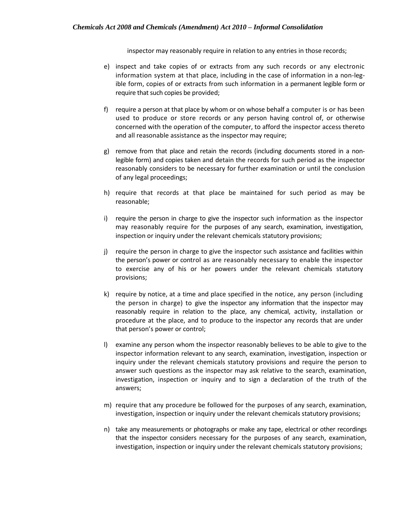inspector may reasonably require in relation to any entries in those records;

- e) inspect and take copies of or extracts from any such records or any electronic information system at that place, including in the case of information in a non-legible form, copies of or extracts from such information in a permanent legible form or require that such copies be provided;
- f) require a person at that place by whom or on whose behalf a computer is or has been used to produce or store records or any person having control of, or otherwise concerned with the operation of the computer, to afford the inspector access thereto and all reasonable assistance as the inspector may require;
- g) remove from that place and retain the records (including documents stored in a nonlegible form) and copies taken and detain the records for such period as the inspector reasonably considers to be necessary for further examination or until the conclusion of any legal proceedings;
- h) require that records at that place be maintained for such period as may be reasonable;
- i) require the person in charge to give the inspector such information as the inspector may reasonably require for the purposes of any search, examination, investigation, inspection or inquiry under the relevant chemicals statutory provisions;
- j) require the person in charge to give the inspector such assistance and facilities within the person's power or control as are reasonably necessary to enable the inspector to exercise any of his or her powers under the relevant chemicals statutory provisions;
- k) require by notice, at a time and place specified in the notice, any person (including the person in charge) to give the inspector any information that the inspector may reasonably require in relation to the place, any chemical, activity, installation or procedure at the place, and to produce to the inspector any records that are under that person's power or control;
- l) examine any person whom the inspector reasonably believes to be able to give to the inspector information relevant to any search, examination, investigation, inspection or inquiry under the relevant chemicals statutory provisions and require the person to answer such questions as the inspector may ask relative to the search, examination, investigation, inspection or inquiry and to sign a declaration of the truth of the answers;
- m) require that any procedure be followed for the purposes of any search, examination, investigation, inspection or inquiry under the relevant chemicals statutory provisions;
- n) take any measurements or photographs or make any tape, electrical or other recordings that the inspector considers necessary for the purposes of any search, examination, investigation, inspection or inquiry under the relevant chemicals statutory provisions;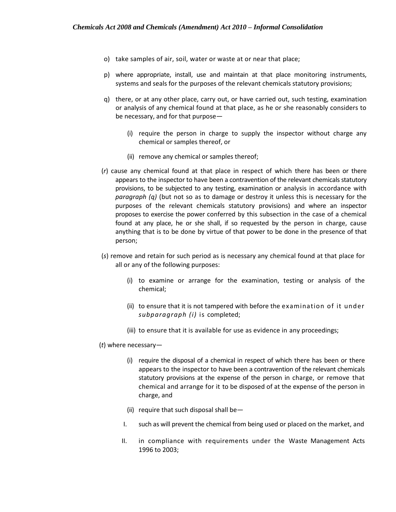- o) take samples of air, soil, water or waste at or near that place;
- p) where appropriate, install, use and maintain at that place monitoring instruments, systems and seals for the purposes of the relevant chemicals statutory provisions;
- q) there, or at any other place, carry out, or have carried out, such testing, examination or analysis of any chemical found at that place, as he or she reasonably considers to be necessary, and for that purpose—
	- (i) require the person in charge to supply the inspector without charge any chemical or samples thereof, or
	- (ii) remove any chemical or samples thereof;
- (*r*) cause any chemical found at that place in respect of which there has been or there appears to the inspector to have been a contravention of the relevant chemicals statutory provisions, to be subjected to any testing, examination or analysis in accordance with *paragraph (q)* (but not so as to damage or destroy it unless this is necessary for the purposes of the relevant chemicals statutory provisions) and where an inspector proposes to exercise the power conferred by this subsection in the case of a chemical found at any place, he or she shall, if so requested by the person in charge, cause anything that is to be done by virtue of that power to be done in the presence of that person;
- (*s*) remove and retain for such period as is necessary any chemical found at that place for all or any of the following purposes:
	- (i) to examine or arrange for the examination, testing or analysis of the chemical;
	- (ii) to ensure that it is not tampered with before the examination of it under *subparagraph (i)* is completed;
	- (iii) to ensure that it is available for use as evidence in any proceedings;

# (*t*) where necessary—

- (i) require the disposal of a chemical in respect of which there has been or there appears to the inspector to have been a contravention of the relevant chemicals statutory provisions at the expense of the person in charge, or remove that chemical and arrange for it to be disposed of at the expense of the person in charge, and
- (ii) require that such disposal shall be—
- I. such as will prevent the chemical from being used or placed on the market, and
- II. in compliance with requirements under the Waste Management Acts 1996 to 2003;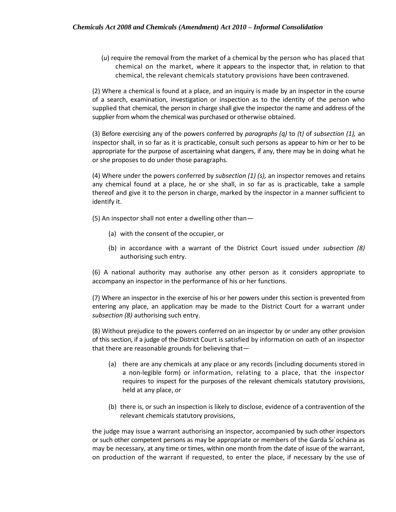(*u*) require the removal from the market of a chemical by the person who has placed that chemical on the market, where it appears to the inspector that, in relation to that chemical, the relevant chemicals statutory provisions have been contravened.

(2) Where a chemical is found at a place, and an inquiry is made by an inspector in the course of a search, examination, investigation or inspection as to the identity of the person who supplied that chemical, the person in charge shall give the inspector the name and address of the supplier from whom the chemical was purchased or otherwise obtained.

(3) Before exercising any of the powers conferred by *paragraphs (q)* to *(t)* of *subsection (1),* an inspector shall, in so far as it is practicable, consult such persons as appear to him or her to be appropriate for the purpose of ascertaining what dangers, if any, there may be in doing what he or she proposes to do under those paragraphs.

(4) Where under the powers conferred by *subsection (1) (s),* an inspector removes and retains any chemical found at a place, he or she shall, in so far as is practicable, take a sample thereof and give it to the person in charge, marked by the inspector in a manner sufficient to identify it.

(5) An inspector shall not enter a dwelling other than—

- (a) with the consent of the occupier, or
- (b) in accordance with a warrant of the District Court issued under *subsection (8)*  authorising such entry.

(6) A national authority may authorise any other person as it considers appropriate to accompany an inspector in the performance of his or her functions.

(7) Where an inspector in the exercise of his or her powers under this section is prevented from entering any place, an application may be made to the District Court for a warrant under *subsection (8)* authorising such entry.

(8) Without prejudice to the powers conferred on an inspector by or under any other provision of this section, if a judge of the District Court is satisfied by information on oath of an inspector that there are reasonable grounds for believing that—

- (a) there are any chemicals at any place or any records (including documents stored in a non-legible form) or information, relating to a place, that the inspector requires to inspect for the purposes of the relevant chemicals statutory provisions, held at any place, or
- (b) there is, or such an inspection is likely to disclose, evidence of a contravention of the relevant chemicals statutory provisions,

the judge may issue a warrant authorising an inspector, accompanied by such other inspectors or such other competent persons as may be appropriate or members of the Garda Sı´ochána as may be necessary, at any time or times, within one month from the date of issue of the warrant, on production of the warrant if requested, to enter the place, if necessary by the use of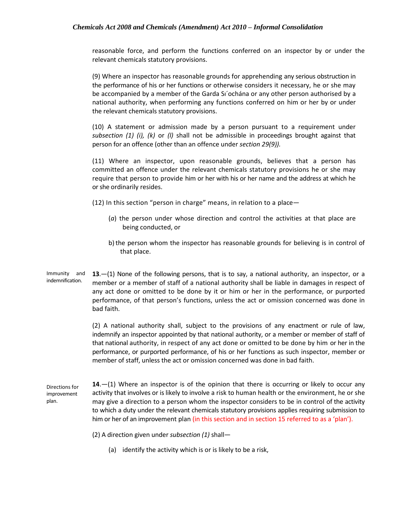reasonable force, and perform the functions conferred on an inspector by or under the relevant chemicals statutory provisions.

(9) Where an inspector has reasonable grounds for apprehending any serious obstruction in the performance of his or her functions or otherwise considers it necessary, he or she may be accompanied by a member of the Garda Sı´ochána or any other person authorised by a national authority, when performing any functions conferred on him or her by or under the relevant chemicals statutory provisions.

(10) A statement or admission made by a person pursuant to a requirement under *subsection (1) (i), (k)* or *(l)* shall not be admissible in proceedings brought against that person for an offence (other than an offence under *section 29(9)).*

(11) Where an inspector, upon reasonable grounds, believes that a person has committed an offence under the relevant chemicals statutory provisions he or she may require that person to provide him or her with his or her name and the address at which he or she ordinarily resides.

(12) In this section "person in charge" means, in relation to a place—

- (*a*) the person under whose direction and control the activities at that place are being conducted, or
- b) the person whom the inspector has reasonable grounds for believing is in control of that place.
- Immunity and indemnification. **13**.—(1) None of the following persons, that is to say, a national authority, an inspector, or a member or a member of staff of a national authority shall be liable in damages in respect of any act done or omitted to be done by it or him or her in the performance, or purported performance, of that person's functions, unless the act or omission concerned was done in bad faith.

(2) A national authority shall, subject to the provisions of any enactment or rule of law, indemnify an inspector appointed by that national authority, or a member or member of staff of that national authority, in respect of any act done or omitted to be done by him or her in the performance, or purported performance, of his or her functions as such inspector, member or member of staff, unless the act or omission concerned was done in bad faith.

Directions for improvement plan. **14**.—(1) Where an inspector is of the opinion that there is occurring or likely to occur any activity that involves or is likely to involve a risk to human health or the environment, he or she may give a direction to a person whom the inspector considers to be in control of the activity to which a duty under the relevant chemicals statutory provisions applies requiring submission to him or her of an improvement plan (in this section and in section 15 referred to as a 'plan').

(2) A direction given under *subsection (1)* shall—

(a) identify the activity which is or is likely to be a risk,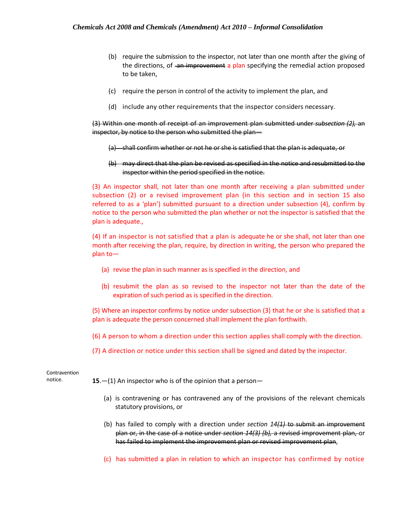- (b) require the submission to the inspector, not later than one month after the giving of the directions, of an improvement a plan specifying the remedial action proposed to be taken,
- (c) require the person in control of the activity to implement the plan, and
- (d) include any other requirements that the inspector considers necessary.

(3) Within one month of receipt of an improvement plan submitted under *subsection (2),* an inspector, by notice to the person who submitted the plan—

- (a) shall confirm whether or not he or she is satisfied that the plan is adequate, or
- (b) may direct that the plan be revised as specified in the notice and resubmitted to the inspector within the period specified in the notice.

(3) An inspector shall, not later than one month after receiving a plan submitted under subsection (2) or a revised improvement plan (in this section and in section 15 also referred to as a 'plan') submitted pursuant to a direction under subsection (4), confirm by notice to the person who submitted the plan whether or not the inspector is satisfied that the plan is adequate.,

(4) If an inspector is not satisfied that a plan is adequate he or she shall, not later than one month after receiving the plan, require, by direction in writing, the person who prepared the plan to—

- (a) revise the plan in such manner as is specified in the direction, and
- (b) resubmit the plan as so revised to the inspector not later than the date of the expiration of such period as is specified in the direction.

(5) Where an inspector confirms by notice under subsection (3) that he or she is satisfied that a plan is adequate the person concerned shall implement the plan forthwith.

- (6) A person to whom a direction under this section applies shall comply with the direction.
- (7) A direction or notice under this section shall be signed and dated by the inspector.

Contravention

notice. **15**.—(1) An inspector who is of the opinion that a person—

- (a) is contravening or has contravened any of the provisions of the relevant chemicals statutory provisions, or
- (b) has failed to comply with a direction under *section 14(1)* to submit an improvement plan or, in the case of a notice under *section 14(3) (b),* a revised improvement plan, or has failed to implement the improvement plan or revised improvement plan,
- (c) has submitted a plan in relation to which an inspector has confirmed by notice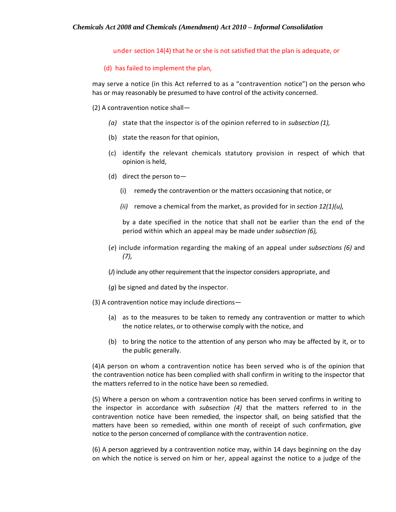under section 14(4) that he or she is not satisfied that the plan is adequate, or

# (d) has failed to implement the plan,

may serve a notice (in this Act referred to as a "contravention notice") on the person who has or may reasonably be presumed to have control of the activity concerned.

# (2) A contravention notice shall—

- *(a)* state that the inspector is of the opinion referred to in *subsection (1),*
- (b) state the reason for that opinion,
- (c) identify the relevant chemicals statutory provision in respect of which that opinion is held,
- (d) direct the person to—
	- (i) remedy the contravention or the matters occasioning that notice, or
	- *(ii)* remove a chemical from the market, as provided for in *section 12(1)(u),*

by a date specified in the notice that shall not be earlier than the end of the period within which an appeal may be made under *subsection (6),*

(*e*) include information regarding the making of an appeal under *subsections (6)* and *(7),*

(*J*) include any other requirement that the inspector considers appropriate, and

- (*g*) be signed and dated by the inspector.
- (3) A contravention notice may include directions—
	- (a) as to the measures to be taken to remedy any contravention or matter to which the notice relates, or to otherwise comply with the notice, and
	- (b) to bring the notice to the attention of any person who may be affected by it, or to the public generally.

(4)A person on whom a contravention notice has been served who is of the opinion that the contravention notice has been complied with shall confirm in writing to the inspector that the matters referred to in the notice have been so remedied.

(5) Where a person on whom a contravention notice has been served confirms in writing to the inspector in accordance with *subsection (4)* that the matters referred to in the contravention notice have been remedied, the inspector shall, on being satisfied that the matters have been so remedied, within one month of receipt of such confirmation, give notice to the person concerned of compliance with the contravention notice.

(6) A person aggrieved by a contravention notice may, within 14 days beginning on the day on which the notice is served on him or her, appeal against the notice to a judge of the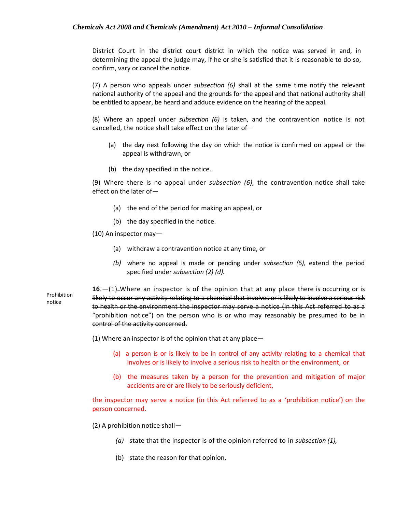District Court in the district court district in which the notice was served in and, in determining the appeal the judge may, if he or she is satisfied that it is reasonable to do so, confirm, vary or cancel the notice.

(7) A person who appeals under *subsection (6)* shall at the same time notify the relevant national authority of the appeal and the grounds for the appeal and that national authority shall be entitled to appear, be heard and adduce evidence on the hearing of the appeal.

(8) Where an appeal under *subsection (6)* is taken, and the contravention notice is not cancelled, the notice shall take effect on the later of—

- (a) the day next following the day on which the notice is confirmed on appeal or the appeal is withdrawn, or
- (b) the day specified in the notice.

(9) Where there is no appeal under *subsection (6),* the contravention notice shall take effect on the later of—

- (a) the end of the period for making an appeal, or
- (b) the day specified in the notice.

(10) An inspector may—

Prohibition notice

- (a) withdraw a contravention notice at any time, or
- *(b)* where no appeal is made or pending under *subsection (6),* extend the period specified under *subsection (2) (d).*

**16**.—(1) Where an inspector is of the opinion that at any place there is occurring or is likely to occur any activity relating to a chemical that involves or is likely to involve a serious risk to health or the environment the inspector may serve a notice (in this Act referred to as a "prohibition notice") on the person who is or who may reasonably be presumed to be in control of the activity concerned.

(1) Where an inspector is of the opinion that at any place—

- (a) a person is or is likely to be in control of any activity relating to a chemical that involves or is likely to involve a serious risk to health or the environment, or
- (b) the measures taken by a person for the prevention and mitigation of major accidents are or are likely to be seriously deficient,

the inspector may serve a notice (in this Act referred to as a 'prohibition notice') on the person concerned.

(2) A prohibition notice shall—

- *(a)* state that the inspector is of the opinion referred to in *subsection (1),*
- (b) state the reason for that opinion,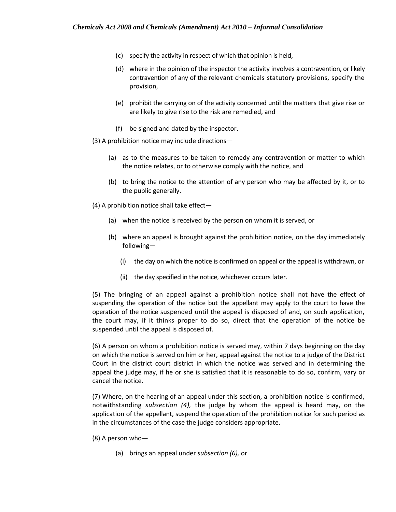- (c) specify the activity in respect of which that opinion is held,
- (d) where in the opinion of the inspector the activity involves a contravention, or likely contravention of any of the relevant chemicals statutory provisions, specify the provision,
- (e) prohibit the carrying on of the activity concerned until the matters that give rise or are likely to give rise to the risk are remedied, and
- (f) be signed and dated by the inspector.
- (3) A prohibition notice may include directions—
	- (a) as to the measures to be taken to remedy any contravention or matter to which the notice relates, or to otherwise comply with the notice, and
	- (b) to bring the notice to the attention of any person who may be affected by it, or to the public generally.
- (4) A prohibition notice shall take effect—
	- (a) when the notice is received by the person on whom it is served, or
	- (b) where an appeal is brought against the prohibition notice, on the day immediately following—
		- (i) the day on which the notice is confirmed on appeal or the appeal is withdrawn, or
		- (ii) the day specified in the notice, whichever occurs later.

(5) The bringing of an appeal against a prohibition notice shall not have the effect of suspending the operation of the notice but the appellant may apply to the court to have the operation of the notice suspended until the appeal is disposed of and, on such application, the court may, if it thinks proper to do so, direct that the operation of the notice be suspended until the appeal is disposed of.

(6) A person on whom a prohibition notice is served may, within 7 days beginning on the day on which the notice is served on him or her, appeal against the notice to a judge of the District Court in the district court district in which the notice was served and in determining the appeal the judge may, if he or she is satisfied that it is reasonable to do so, confirm, vary or cancel the notice.

(7) Where, on the hearing of an appeal under this section, a prohibition notice is confirmed, notwithstanding *subsection (4),* the judge by whom the appeal is heard may, on the application of the appellant, suspend the operation of the prohibition notice for such period as in the circumstances of the case the judge considers appropriate.

- (8) A person who—
	- (a) brings an appeal under *subsection (6),* or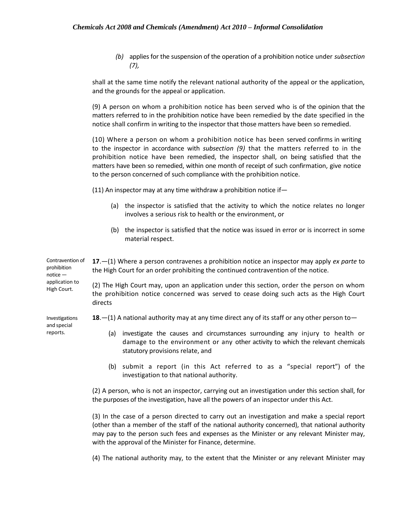*(b)* applies for the suspension of the operation of a prohibition notice under *subsection (7),*

shall at the same time notify the relevant national authority of the appeal or the application, and the grounds for the appeal or application.

(9) A person on whom a prohibition notice has been served who is of the opinion that the matters referred to in the prohibition notice have been remedied by the date specified in the notice shall confirm in writing to the inspector that those matters have been so remedied.

(10) Where a person on whom a prohibition notice has been served confirms in writing to the inspector in accordance with *subsection (9)* that the matters referred to in the prohibition notice have been remedied, the inspector shall, on being satisfied that the matters have been so remedied, within one month of receipt of such confirmation, give notice to the person concerned of such compliance with the prohibition notice.

(11) An inspector may at any time withdraw a prohibition notice if—

- (a) the inspector is satisfied that the activity to which the notice relates no longer involves a serious risk to health or the environment, or
- (b) the inspector is satisfied that the notice was issued in error or is incorrect in some material respect.

Contravention of prohibition notice — **17**.—(1) Where a person contravenes a prohibition notice an inspector may apply *ex parte* to the High Court for an order prohibiting the continued contravention of the notice.

> (2) The High Court may, upon an application under this section, order the person on whom the prohibition notice concerned was served to cease doing such acts as the High Court directs

**18**.—(1) A national authority may at any time direct any of its staff or any other person to—

- (a) investigate the causes and circumstances surrounding any injury to health or damage to the environment or any other activity to which the relevant chemicals statutory provisions relate, and
- (b) submit a report (in this Act referred to as a "special report") of the investigation to that national authority.

(2) A person, who is not an inspector, carrying out an investigation under this section shall, for the purposes of the investigation, have all the powers of an inspector under this Act.

(3) In the case of a person directed to carry out an investigation and make a special report (other than a member of the staff of the national authority concerned), that national authority may pay to the person such fees and expenses as the Minister or any relevant Minister may, with the approval of the Minister for Finance, determine.

(4) The national authority may, to the extent that the Minister or any relevant Minister may

application to High Court.

Investigations and special reports.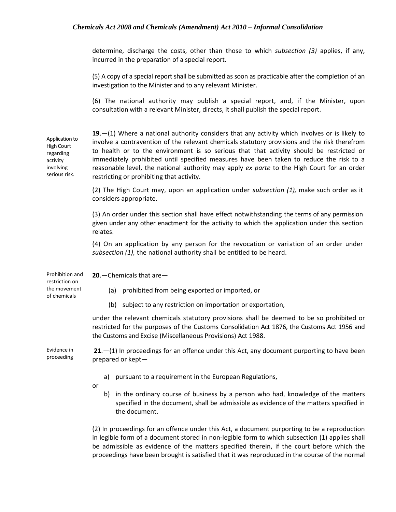determine, discharge the costs, other than those to which *subsection (3)* applies, if any, incurred in the preparation of a special report.

(5) A copy of a special report shall be submitted as soon as practicable after the completion of an investigation to the Minister and to any relevant Minister.

(6) The national authority may publish a special report, and, if the Minister, upon consultation with a relevant Minister, directs, it shall publish the special report.

| Application to<br><b>High Court</b><br>regarding<br>activity<br>involving<br>serious risk. | $19 - (1)$ Where a national authority considers that any activity which involves or is likely to<br>involve a contravention of the relevant chemicals statutory provisions and the risk therefrom<br>to health or to the environment is so serious that that activity should be restricted or<br>immediately prohibited until specified measures have been taken to reduce the risk to a<br>reasonable level, the national authority may apply ex parte to the High Court for an order<br>restricting or prohibiting that activity. |
|--------------------------------------------------------------------------------------------|-------------------------------------------------------------------------------------------------------------------------------------------------------------------------------------------------------------------------------------------------------------------------------------------------------------------------------------------------------------------------------------------------------------------------------------------------------------------------------------------------------------------------------------|
|                                                                                            | (2) The High Court may, upon an application under subsection (1), make such order as it<br>considers appropriate.                                                                                                                                                                                                                                                                                                                                                                                                                   |
|                                                                                            | (3) An order under this section shall have effect notwithstanding the terms of any permission<br>given under any other enactment for the activity to which the application under this section<br>relates.                                                                                                                                                                                                                                                                                                                           |
|                                                                                            | (4) On an application by any person for the revocation or variation of an order under<br>subsection (1), the national authority shall be entitled to be heard.                                                                                                                                                                                                                                                                                                                                                                      |
| Prohibition and<br>restriction on<br>the movement<br>of chemicals                          | 20. - Chemicals that are -                                                                                                                                                                                                                                                                                                                                                                                                                                                                                                          |
|                                                                                            | prohibited from being exported or imported, or<br>(a)                                                                                                                                                                                                                                                                                                                                                                                                                                                                               |
|                                                                                            | (b) subject to any restriction on importation or exportation,                                                                                                                                                                                                                                                                                                                                                                                                                                                                       |
|                                                                                            | under the relevant chemicals statutory provisions shall be deemed to be so prohibited or<br>restricted for the purposes of the Customs Consolidation Act 1876, the Customs Act 1956 and<br>the Customs and Excise (Miscellaneous Provisions) Act 1988.                                                                                                                                                                                                                                                                              |
| Evidence in<br>proceeding                                                                  | $21 - (1)$ In proceedings for an offence under this Act, any document purporting to have been<br>prepared or kept-                                                                                                                                                                                                                                                                                                                                                                                                                  |
|                                                                                            | pursuant to a requirement in the European Regulations,<br>a)                                                                                                                                                                                                                                                                                                                                                                                                                                                                        |
|                                                                                            | or<br>in the ordinary course of business by a person who had, knowledge of the matters<br>b)<br>specified in the document, shall be admissible as evidence of the matters specified in<br>the document.                                                                                                                                                                                                                                                                                                                             |
|                                                                                            |                                                                                                                                                                                                                                                                                                                                                                                                                                                                                                                                     |

(2) In proceedings for an offence under this Act, a document purporting to be a reproduction in legible form of a document stored in non-legible form to which subsection (1) applies shall be admissible as evidence of the matters specified therein, if the court before which the proceedings have been brought is satisfied that it was reproduced in the course of the normal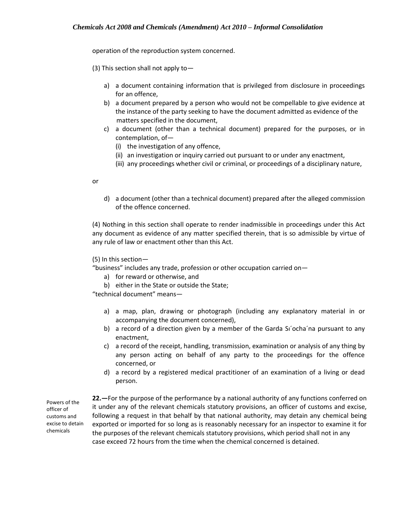operation of the reproduction system concerned.

(3) This section shall not apply to—

- a) a document containing information that is privileged from disclosure in proceedings for an offence,
- b) a document prepared by a person who would not be compellable to give evidence at the instance of the party seeking to have the document admitted as evidence of the matters specified in the document,
- c) a document (other than a technical document) prepared for the purposes, or in contemplation, of—
	- (i) the investigation of any offence,
	- (ii) an investigation or inquiry carried out pursuant to or under any enactment,
	- (iii) any proceedings whether civil or criminal, or proceedings of a disciplinary nature,

or

d) a document (other than a technical document) prepared after the alleged commission of the offence concerned.

(4) Nothing in this section shall operate to render inadmissible in proceedings under this Act any document as evidence of any matter specified therein, that is so admissible by virtue of any rule of law or enactment other than this Act.

(5) In this section—

"business" includes any trade, profession or other occupation carried on—

- a) for reward or otherwise, and
- b) either in the State or outside the State;

"technical document" means—

- a) a map, plan, drawing or photograph (including any explanatory material in or accompanying the document concerned),
- b) a record of a direction given by a member of the Garda Si'ocha'na pursuant to any enactment,
- c) a record of the receipt, handling, transmission, examination or analysis of any thing by any person acting on behalf of any party to the proceedings for the offence concerned, or
- d) a record by a registered medical practitioner of an examination of a living or dead person.

Powers of the officer of customs and excise to detain chemicals

**22.—**For the purpose of the performance by a national authority of any functions conferred on it under any of the relevant chemicals statutory provisions, an officer of customs and excise, following a request in that behalf by that national authority, may detain any chemical being exported or imported for so long as is reasonably necessary for an inspector to examine it for the purposes of the relevant chemicals statutory provisions, which period shall not in any case exceed 72 hours from the time when the chemical concerned is detained.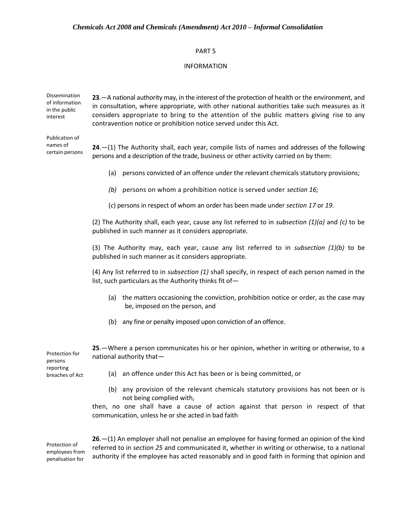#### PART 5

#### INFORMATION

Dissemination of information in the public interest **23**.—A national authority may, in the interest of the protection of health or the environment, and in consultation, where appropriate, with other national authorities take such measures as it considers appropriate to bring to the attention of the public matters giving rise to any contravention notice or prohibition notice served under this Act.

Publication of names of certain persons

**24**.—(1) The Authority shall, each year, compile lists of names and addresses of the following persons and a description of the trade, business or other activity carried on by them:

- (a) persons convicted of an offence under the relevant chemicals statutory provisions;
- *(b)* persons on whom a prohibition notice is served under *section 16;*

(*c*) persons in respect of whom an order has been made under *section 17* or *19.*

(2) The Authority shall, each year, cause any list referred to in *subsection (1)(a)* and *(c)* to be published in such manner as it considers appropriate.

(3) The Authority may, each year, cause any list referred to in *subsection (1)(b)* to be published in such manner as it considers appropriate.

(4) Any list referred to in *subsection (1)* shall specify, in respect of each person named in the list, such particulars as the Authority thinks fit of—

- (a) the matters occasioning the conviction, prohibition notice or order, as the case may be, imposed on the person, and
- (b) any fine or penalty imposed upon conviction of an offence.

| Protection for<br>persons<br>reporting<br>breaches of Act | 25. - Where a person communicates his or her opinion, whether in writing or otherwise, to a<br>national authority that- |  |
|-----------------------------------------------------------|-------------------------------------------------------------------------------------------------------------------------|--|
|                                                           | (a) an offence under this Act has been or is being committed, or                                                        |  |
|                                                           | (b) any provision of the relevant chemicals statutory provisions has not heap or is                                     |  |

(b) any provision of the relevant chemicals statutory provisions has not been or is not being complied with,

then, no one shall have a cause of action against that person in respect of that communication, unless he or she acted in bad faith

Protection of employees from penalisation for

**26**.—(1) An employer shall not penalise an employee for having formed an opinion of the kind referred to in *section 25* and communicated it, whether in writing or otherwise, to a national authority if the employee has acted reasonably and in good faith in forming that opinion and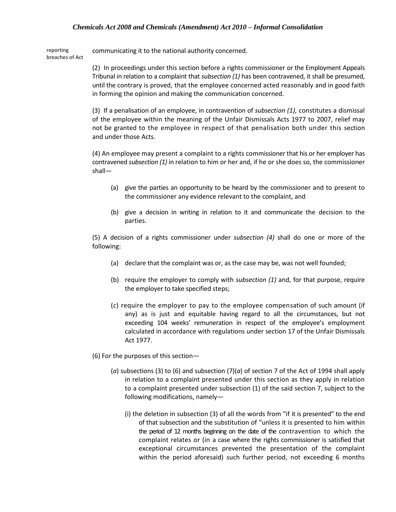reporting breaches of Act communicating it to the national authority concerned.

> (2) In proceedings under this section before a rights commissioner or the Employment Appeals Tribunal in relation to a complaint that *subsection (1)* has been contravened, it shall be presumed, until the contrary is proved, that the employee concerned acted reasonably and in good faith in forming the opinion and making the communication concerned.

> (3) If a penalisation of an employee, in contravention of *subsection (1),* constitutes a dismissal of the employee within the meaning of the Unfair Dismissals Acts 1977 to 2007, relief may not be granted to the employee in respect of that penalisation both under this section and under those Acts.

> (4) An employee may present a complaint to a rights commissioner that his or her employer has contravened *subsection (1)* in relation to him or her and, if he or she does so, the commissioner shall—

- (a) give the parties an opportunity to be heard by the commissioner and to present to the commissioner any evidence relevant to the complaint, and
- (b) give a decision in writing in relation to it and communicate the decision to the parties.

(5) A decision of a rights commissioner under *subsection (4)* shall do one or more of the following:

- (a) declare that the complaint was or, as the case may be, was not well founded;
- (b) require the employer to comply with *subsection (1)* and, for that purpose, require the employer to take specified steps;
- (*c*) require the employer to pay to the employee compensation of such amount (if any) as is just and equitable having regard to all the circumstances, but not exceeding 104 weeks' remuneration in respect of the employee's employment calculated in accordance with regulations under section 17 of the Unfair Dismissals Act 1977.
- (6) For the purposes of this section—
	- (*a*) subsections (3) to (6) and subsection (7)(*a*) of section 7 of the Act of 1994 shall apply in relation to a complaint presented under this section as they apply in relation to a complaint presented under subsection (1) of the said section 7, subject to the following modifications, namely—
		- (i) the deletion in subsection (3) of all the words from "if it is presented" to the end of that subsection and the substitution of "unless it is presented to him within the period of 12 months beginning on the date of the contravention to which the complaint relates or (in a case where the rights commissioner is satisfied that exceptional circumstances prevented the presentation of the complaint within the period aforesaid) such further period, not exceeding 6 months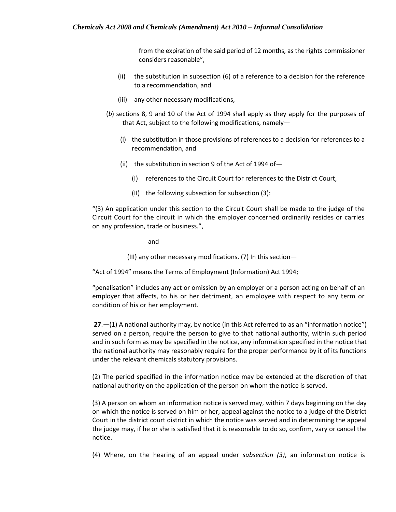from the expiration of the said period of 12 months, as the rights commissioner considers reasonable",

- (ii) the substitution in subsection (6) of a reference to a decision for the reference to a recommendation, and
- (iii) any other necessary modifications,
- (*b*) sections 8, 9 and 10 of the Act of 1994 shall apply as they apply for the purposes of that Act, subject to the following modifications, namely—
	- (i) the substitution in those provisions of references to a decision for references to a recommendation, and
	- (ii) the substitution in section 9 of the Act of 1994 of—
		- (I) references to the Circuit Court for references to the District Court,
		- (II) the following subsection for subsection (3):

"(3) An application under this section to the Circuit Court shall be made to the judge of the Circuit Court for the circuit in which the employer concerned ordinarily resides or carries on any profession, trade or business.",

and

(III) any other necessary modifications. (7) In this section—

"Act of 1994" means the Terms of Employment (Information) Act 1994;

"penalisation" includes any act or omission by an employer or a person acting on behalf of an employer that affects, to his or her detriment, an employee with respect to any term or condition of his or her employment.

**27**.—(1) A national authority may, by notice (in this Act referred to as an "information notice") served on a person, require the person to give to that national authority, within such period and in such form as may be specified in the notice, any information specified in the notice that the national authority may reasonably require for the proper performance by it of its functions under the relevant chemicals statutory provisions.

(2) The period specified in the information notice may be extended at the discretion of that national authority on the application of the person on whom the notice is served.

(3) A person on whom an information notice is served may, within 7 days beginning on the day on which the notice is served on him or her, appeal against the notice to a judge of the District Court in the district court district in which the notice was served and in determining the appeal the judge may, if he or she is satisfied that it is reasonable to do so, confirm, vary or cancel the notice.

(4) Where, on the hearing of an appeal under *subsection (3)*, an information notice is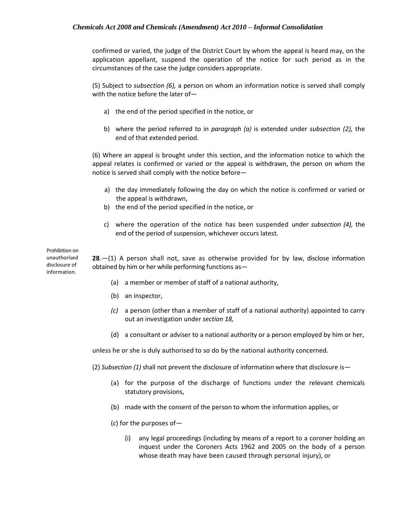confirmed or varied, the judge of the District Court by whom the appeal is heard may, on the application appellant, suspend the operation of the notice for such period as in the circumstances of the case the judge considers appropriate.

(5) Subject to *subsection (6),* a person on whom an information notice is served shall comply with the notice before the later of—

- a) the end of the period specified in the notice, or
- b) where the period referred to in *paragraph (a)* is extended under *subsection (2),* the end of that extended period.

(6) Where an appeal is brought under this section, and the information notice to which the appeal relates is confirmed or varied or the appeal is withdrawn, the person on whom the notice is served shall comply with the notice before—

- a) the day immediately following the day on which the notice is confirmed or varied or the appeal is withdrawn,
- b) the end of the period specified in the notice, or
- c) where the operation of the notice has been suspended under *subsection (4),* the end of the period of suspension, whichever occurs latest.

Prohibition on unauthorised disclosure of information.

**28**.—(1) A person shall not, save as otherwise provided for by law, disclose information obtained by him or her while performing functions as—

- (a) a member or member of staff of a national authority,
- (b) an inspector,
- *(c)* a person (other than a member of staff of a national authority) appointed to carry out an investigation under *section 18,*
- (d) a consultant or adviser to a national authority or a person employed by him or her,

unless he or she is duly authorised to so do by the national authority concerned.

(2) *Subsection (1)* shall not prevent the disclosure of information where that disclosure is—

- (a) for the purpose of the discharge of functions under the relevant chemicals statutory provisions,
- (b) made with the consent of the person to whom the information applies, or

(*c*) for the purposes of—

(i) any legal proceedings (including by means of a report to a coroner holding an inquest under the Coroners Acts 1962 and 2005 on the body of a person whose death may have been caused through personal injury), or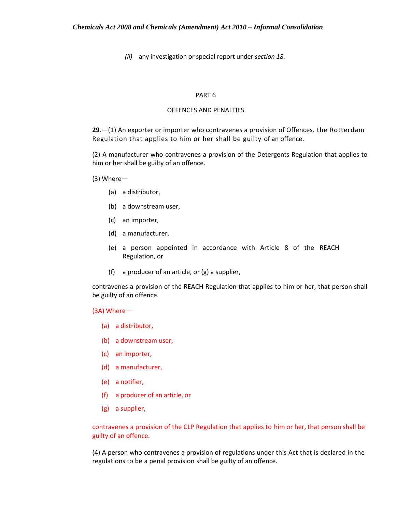*(ii)* any investigation or special report under *section 18.*

#### PART 6

## OFFENCES AND PENALTIES

**29**.—(1) An exporter or importer who contravenes a provision of Offences. the Rotterdam Regulation that applies to him or her shall be guilty of an offence.

(2) A manufacturer who contravenes a provision of the Detergents Regulation that applies to him or her shall be guilty of an offence.

(3) Where—

- (a) a distributor,
- (b) a downstream user,
- (c) an importer,
- (d) a manufacturer,
- (e) a person appointed in accordance with Article 8 of the REACH Regulation, or
- (f) a producer of an article, or (g) a supplier,

contravenes a provision of the REACH Regulation that applies to him or her, that person shall be guilty of an offence.

(3A) Where—

- (a) a distributor,
- (b) a downstream user,
- (c) an importer,
- (d) a manufacturer,
- (e) a notifier,
- (f) a producer of an article, or
- (g) a supplier,

contravenes a provision of the CLP Regulation that applies to him or her, that person shall be guilty of an offence.

(4) A person who contravenes a provision of regulations under this Act that is declared in the regulations to be a penal provision shall be guilty of an offence.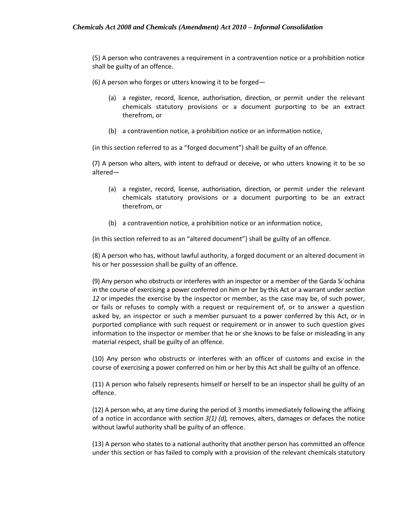(5) A person who contravenes a requirement in a contravention notice or a prohibition notice shall be guilty of an offence.

(6) A person who forges or utters knowing it to be forged—

- (a) a register, record, licence, authorisation, direction, or permit under the relevant chemicals statutory provisions or a document purporting to be an extract therefrom, or
- (b) a contravention notice, a prohibition notice or an information notice,

(in this section referred to as a "forged document") shall be guilty of an offence.

(7) A person who alters, with intent to defraud or deceive, or who utters knowing it to be so altered—

- (a) a register, record, license, authorisation, direction, or permit under the relevant chemicals statutory provisions or a document purporting to be an extract therefrom, or
- (b) a contravention notice, a prohibition notice or an information notice,

(in this section referred to as an "altered document") shall be guilty of an offence.

(8) A person who has, without lawful authority, a forged document or an altered document in his or her possession shall be guilty of an offence.

(9) Any person who obstructs or interferes with an inspector or a member of the Garda Sı´ochána in the course of exercising a power conferred on him or her by this Act or a warrant under *section 12* or impedes the exercise by the inspector or member, as the case may be, of such power, or fails or refuses to comply with a request or requirement of, or to answer a question asked by, an inspector or such a member pursuant to a power conferred by this Act, or in purported compliance with such request or requirement or in answer to such question gives information to the inspector or member that he or she knows to be false or misleading in any material respect, shall be guilty of an offence.

(10) Any person who obstructs or interferes with an officer of customs and excise in the course of exercising a power conferred on him or her by this Act shall be guilty of an offence.

(11) A person who falsely represents himself or herself to be an inspector shall be guilty of an offence.

(12) A person who, at any time during the period of 3 months immediately following the affixing of a notice in accordance with *section 3(1) (d),* removes, alters, damages or defaces the notice without lawful authority shall be guilty of an offence.

(13) A person who states to a national authority that another person has committed an offence under this section or has failed to comply with a provision of the relevant chemicals statutory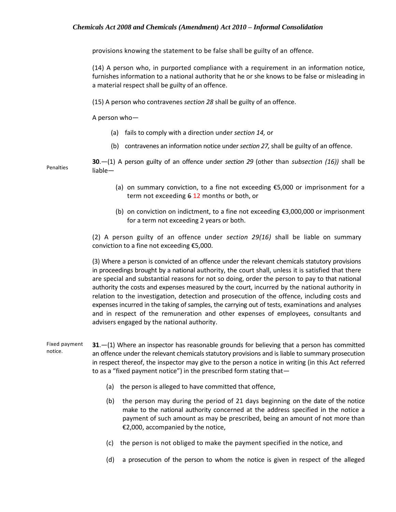provisions knowing the statement to be false shall be guilty of an offence.

(14) A person who, in purported compliance with a requirement in an information notice, furnishes information to a national authority that he or she knows to be false or misleading in a material respect shall be guilty of an offence.

(15) A person who contravenes *section 28* shall be guilty of an offence.

A person who—

- (a) fails to comply with a direction under *section 14,* or
- (b) contravenes an information notice under *section 27,* shall be guilty of an offence.

Penalties **30**.—(1) A person guilty of an offence under *section 29* (other than *subsection (16))* shall be liable—

- (a) on summary conviction, to a fine not exceeding €5,000 or imprisonment for a term not exceeding 6 12 months or both, or
- (b) on conviction on indictment, to a fine not exceeding  $\xi$ 3,000,000 or imprisonment for a term not exceeding 2 years or both.

(2) A person guilty of an offence under *section 29(16)* shall be liable on summary conviction to a fine not exceeding €5,000.

(3) Where a person is convicted of an offence under the relevant chemicals statutory provisions in proceedings brought by a national authority, the court shall, unless it is satisfied that there are special and substantial reasons for not so doing, order the person to pay to that national authority the costs and expenses measured by the court, incurred by the national authority in relation to the investigation, detection and prosecution of the offence, including costs and expenses incurred in the taking of samples, the carrying out of tests, examinations and analyses and in respect of the remuneration and other expenses of employees, consultants and advisers engaged by the national authority.

- Fixed payment notice. **31**.—(1) Where an inspector has reasonable grounds for believing that a person has committed an offence under the relevant chemicals statutory provisions and is liable to summary prosecution in respect thereof, the inspector may give to the person a notice in writing (in this Act referred to as a "fixed payment notice") in the prescribed form stating that—
	- (a) the person is alleged to have committed that offence,
	- (b) the person may during the period of 21 days beginning on the date of the notice make to the national authority concerned at the address specified in the notice a payment of such amount as may be prescribed, being an amount of not more than €2,000, accompanied by the notice,
	- (c) the person is not obliged to make the payment specified in the notice, and
	- (d) a prosecution of the person to whom the notice is given in respect of the alleged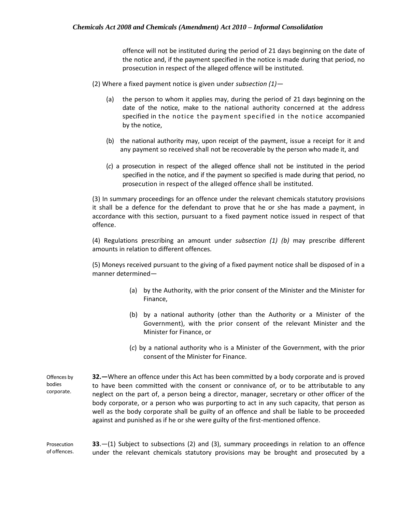offence will not be instituted during the period of 21 days beginning on the date of the notice and, if the payment specified in the notice is made during that period, no prosecution in respect of the alleged offence will be instituted.

(2) Where a fixed payment notice is given under *subsection (1)—*

- (a) the person to whom it applies may, during the period of 21 days beginning on the date of the notice, make to the national authority concerned at the address specified in the notice the payment specified in the notice accompanied by the notice,
- (b) the national authority may, upon receipt of the payment, issue a receipt for it and any payment so received shall not be recoverable by the person who made it, and
- (*c*) a prosecution in respect of the alleged offence shall not be instituted in the period specified in the notice, and if the payment so specified is made during that period, no prosecution in respect of the alleged offence shall be instituted.

(3) In summary proceedings for an offence under the relevant chemicals statutory provisions it shall be a defence for the defendant to prove that he or she has made a payment, in accordance with this section, pursuant to a fixed payment notice issued in respect of that offence.

(4) Regulations prescribing an amount under *subsection (1) (b)* may prescribe different amounts in relation to different offences.

(5) Moneys received pursuant to the giving of a fixed payment notice shall be disposed of in a manner determined—

- (a) by the Authority, with the prior consent of the Minister and the Minister for Finance,
- (b) by a national authority (other than the Authority or a Minister of the Government), with the prior consent of the relevant Minister and the Minister for Finance, or
- (*c*) by a national authority who is a Minister of the Government, with the prior consent of the Minister for Finance.

Offences by bodies corporate. **32.—**Where an offence under this Act has been committed by a body corporate and is proved to have been committed with the consent or connivance of, or to be attributable to any neglect on the part of, a person being a director, manager, secretary or other officer of the body corporate, or a person who was purporting to act in any such capacity, that person as well as the body corporate shall be guilty of an offence and shall be liable to be proceeded against and punished as if he or she were guilty of the first-mentioned offence.

Prosecution of offences. **33**.—(1) Subject to subsections (2) and (3), summary proceedings in relation to an offence under the relevant chemicals statutory provisions may be brought and prosecuted by a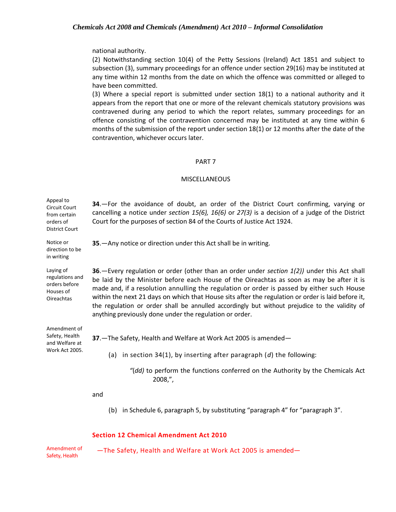#### national authority.

(2) Notwithstanding section 10(4) of the Petty Sessions (Ireland) Act 1851 and subject to subsection (3), summary proceedings for an offence under section 29(16) may be instituted at any time within 12 months from the date on which the offence was committed or alleged to have been committed.

(3) Where a special report is submitted under section 18(1) to a national authority and it appears from the report that one or more of the relevant chemicals statutory provisions was contravened during any period to which the report relates, summary proceedings for an offence consisting of the contravention concerned may be instituted at any time within 6 months of the submission of the report under section 18(1) or 12 months after the date of the contravention, whichever occurs later.

#### PART 7

#### **MISCELLANEOUS**

| Appeal to<br>Circuit Court<br>from certain<br>orders of<br><b>District Court</b> | 34.—For the avoidance of doubt, an order of the District Court confirming, varying or<br>cancelling a notice under section 15(6), 16(6) or $27(3)$ is a decision of a judge of the District<br>Court for the purposes of section 84 of the Courts of Justice Act 1924.                                                                                                                                                                                                                                                                                     |
|----------------------------------------------------------------------------------|------------------------------------------------------------------------------------------------------------------------------------------------------------------------------------------------------------------------------------------------------------------------------------------------------------------------------------------------------------------------------------------------------------------------------------------------------------------------------------------------------------------------------------------------------------|
| Notice or<br>direction to be<br>in writing                                       | 35. - Any notice or direction under this Act shall be in writing.                                                                                                                                                                                                                                                                                                                                                                                                                                                                                          |
| Laying of<br>regulations and<br>orders before<br>Houses of<br><b>Oireachtas</b>  | 36. - Every regulation or order (other than an order under section 1(2)) under this Act shall<br>be laid by the Minister before each House of the Oireachtas as soon as may be after it is<br>made and, if a resolution annulling the regulation or order is passed by either such House<br>within the next 21 days on which that House sits after the regulation or order is laid before it,<br>the regulation or order shall be annulled accordingly but without prejudice to the validity of<br>anything previously done under the regulation or order. |
| Amendment of<br>Safety, Health<br>and Welfare at<br>Work Act 2005.               | 37. - The Safety, Health and Welfare at Work Act 2005 is amended-<br>(a) in section 34(1), by inserting after paragraph $(d)$ the following:<br>$\degree$ (dd) to perform the functions conferred on the Authority by the Chemicals Act<br>$2008,$ ",                                                                                                                                                                                                                                                                                                      |
|                                                                                  | and<br>in Schedule 6, paragraph 5, by substituting "paragraph 4" for "paragraph 3".<br>(b)                                                                                                                                                                                                                                                                                                                                                                                                                                                                 |

#### **Section 12 Chemical Amendment Act 2010**

Amendment of Safety, Health

—The Safety, Health and Welfare at Work Act 2005 is amended—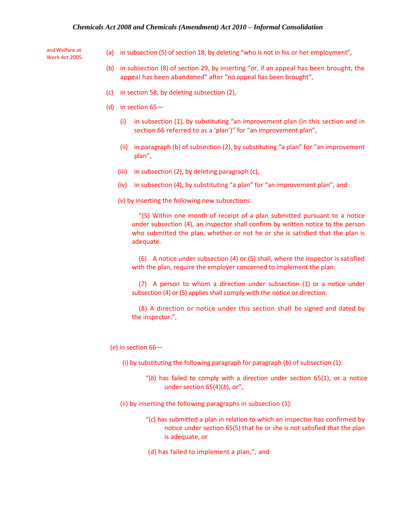and Welfare at Work Act 2005.

- (a) in subsection (5) of section 18, by deleting "who is not in his or her employment",
- (b) in subsection (8) of section 29, by inserting "or, if an appeal has been brought, the appeal has been abandoned" after "no appeal has been brought",
- (c) in section 58, by deleting subsection (2),
- (d) in section 65—
	- (i) in subsection (1), by substituting "an improvement plan (in this section and in section 66 referred to as a 'plan')" for "an improvement plan",
	- (ii) in paragraph (b) of subsection (2), by substituting "a plan" for "an improvement plan",
	- (iii) in subsection (2), by deleting paragraph (c),
	- (iv) in subsection (4), by substituting "a plan" for "an improvement plan", and
	- (v) by inserting the following new subsections:

"(5) Within one month of receipt of a plan submitted pursuant to a notice under subsection (4), an inspector shall confirm by written notice to the person who submitted the plan, whether or not he or she is satisfied that the plan is adequate.

(6) A notice under subsection (4) or (5) shall, where the inspector is satisfied with the plan, require the employer concerned to implement the plan.

(7) A person to whom a direction under subsection (1) or a notice under subsection (4) or (5) applies shall comply with the notice or direction.

(8) A direction or notice under this section shall be signed and dated by the inspector.",

(*e*) in section 66—

- (i) by substituting the following paragraph for paragraph (*b*) of subsection (1):
	- "(*b*) has failed to comply with a direction under section 65(1), or a notice under section 65(4)(*b*), or",
- (ii) by inserting the following paragraphs in subsection (1):
	- "(*c*) has submitted a plan in relation to which an inspector has confirmed by notice under section 65(5) that he or she is not satisfied that the plan is adequate, or
	- (*d*) has failed to implement a plan,", and